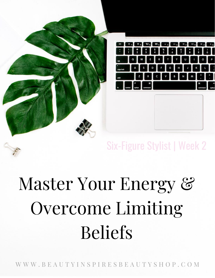

# Six-Figure Stylist | Week 2

# Master Your Energy & Overcome Limiting Beliefs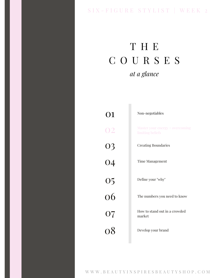### SIX - FIGURE STYLIST | WEEK 2

# T H E C O U R S E S *at a glance*

n.

| 01              | Non-negotiables                                     |
|-----------------|-----------------------------------------------------|
| 02              | Master your energy + overcoming<br>limiting beliefs |
| 03              | <b>Creating Boundaries</b>                          |
| $\overline{04}$ | <b>Time Management</b>                              |
| $\frac{05}{06}$ | Define your "why"                                   |
|                 | The numbers you need to know                        |
| 07              | How to stand out in a crowded<br>market             |
| 08              | Develop your brand                                  |
|                 |                                                     |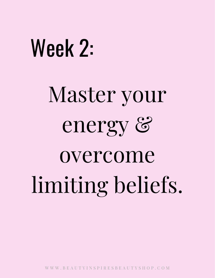# Week 2:

Master your energy & overcome limiting beliefs.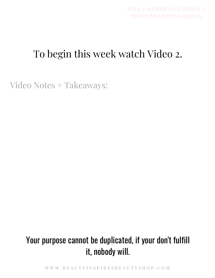# To begin this week watch Video 2.

Video Notes + Takeaways:

## Your purpose cannot be duplicated, if your don't fulfill it, nobody will.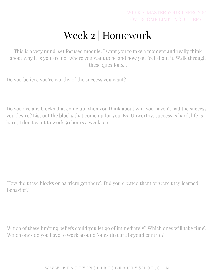# Week 2 | Homework

This is a very mind-set focused module. I want you to take a moment and really think about why it is you are not where you want to be and how you feel about it. Walk through these questions...

Do you believe you're worthy of the success you want?

Do you ave any blocks that come up when you think about why you haven't had the success you desire? List out the blocks that come up for you. Ex. Unworthy, success is hard, life is hard, I don't want to work 50 hours a week, etc.

How did these blocks or barriers get there? Did you created them or were they learned behavior?

Which of these limiting beliefs could you let go of immediately? Which ones will take time? Which ones do you have to work around (ones that are beyond control?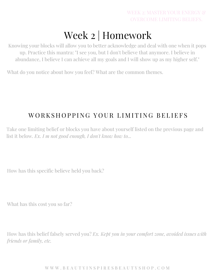# Week 2 | Homework

Knowing your blocks will allow you to better acknowledge and deal with one when it pops up. Practice this mantra: "I see you, but I don't believe that anymore. I believe in abundance, I believe I can achieve all my goals and I will show up as my higher self."

What do you notice about how you feel? What are the common themes.

### WORKSHOPPING YOUR LIMITING BELIEFS

Take one limiting belief or blocks you have about yourself listed on the previous page and list it below. *Ex. I m not good enough, I don't know how to...*

How has this specific believe held you back?

What has this cost you so far?

How has this belief falsely served you? *Ex. Kept you in your comfort zone, avoided issues with friends or family, etc.*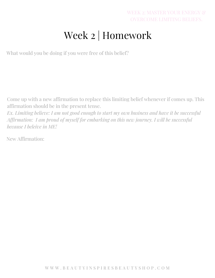### WEEK 2: MASTER YOUR ENERGY & OVERCOME LIMITING BELIEFS.

# Week 2 | Homework

What would you be doing if you were free of this belief?

Come up with a new affirmation to replace this limiting belief whenever if comes up. This affirmation should be in the present tense.

*Ex. Limiting believe: I am not good enough to start my own business and have it be successful Affirmation: I am proud of myself for embarking on this new journey. I will be successful because I beleive in ME!*

New Affirmation: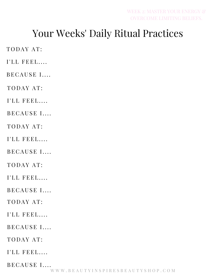## Your Weeks' Daily Ritual Practices

TODAY AT:

I'LL FEEL....

BECAUSE I....

TODAY AT:

I'LL FEEL....

BECAUSE I....

TODAY AT:

I'LL FEEL....

BECAUSE I....

TODAY AT:

 $I'LL$  FEEL....

BECAUSE I....

TODAY AT:

 $I'LL$  FEEL....

BECAUSE I....

TODAY AT:

I'LL FEEL....

BECAUSE I....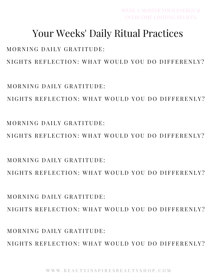MORNING DAILY GRATITUDE: NIGHTS REFLECTION: WHAT WOULD YOU DO DIFFERENLY?

 $MORNING$  DAILY GRATITUDE. NIGHTS REFLECTION: WHAT WOULD YOU DO DIFFERENLY?

MORNING DAILY GRATITUDE: NIGHTS REFLECTION: WHAT WOULD YOU DO DIFFERENLY?

NIGHTS REFLECTION: WHAT WOULD YOU DO DIFFERENLY?

NIGHTS REFLECTION: WHAT WOULD YOU DO DIFFERENLY?

NIGHTS REFLECTION: WHAT WOULD YOU DO DIFFERENLY?

## MORNING DAILY GRATITUDE:

 $MORNING$  DAILY GRATITUDE.

MORNING DAILY GRATITUDE:

Your Weeks' Daily Ritual Practices

WEEK 2: MASTER YOUR ENERGY &